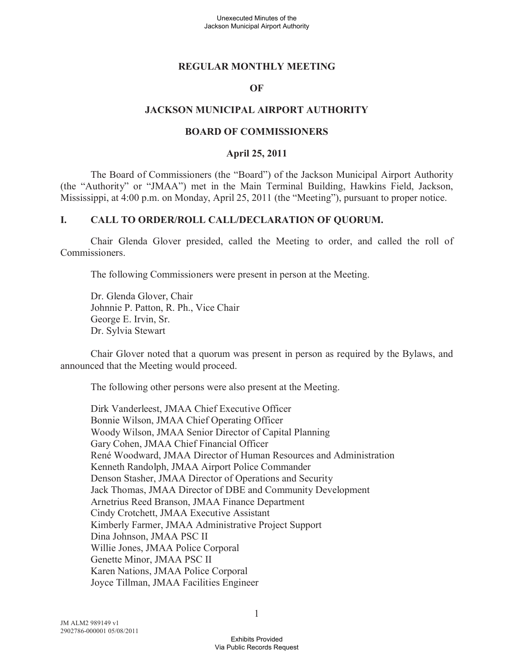### **REGULAR MONTHLY MEETING**

### **OF**

### **JACKSON MUNICIPAL AIRPORT AUTHORITY**

### **BOARD OF COMMISSIONERS**

#### **April 25, 2011**

The Board of Commissioners (the "Board") of the Jackson Municipal Airport Authority (the "Authority" or "JMAA") met in the Main Terminal Building, Hawkins Field, Jackson, Mississippi, at 4:00 p.m. on Monday, April 25, 2011 (the "Meeting"), pursuant to proper notice.

### **I. CALL TO ORDER/ROLL CALL/DECLARATION OF QUORUM.**

Chair Glenda Glover presided, called the Meeting to order, and called the roll of Commissioners.

The following Commissioners were present in person at the Meeting.

Dr. Glenda Glover, Chair Johnnie P. Patton, R. Ph., Vice Chair George E. Irvin, Sr. Dr. Sylvia Stewart

Chair Glover noted that a quorum was present in person as required by the Bylaws, and announced that the Meeting would proceed.

The following other persons were also present at the Meeting.

Dirk Vanderleest, JMAA Chief Executive Officer Bonnie Wilson, JMAA Chief Operating Officer Woody Wilson, JMAA Senior Director of Capital Planning Gary Cohen, JMAA Chief Financial Officer René Woodward, JMAA Director of Human Resources and Administration Kenneth Randolph, JMAA Airport Police Commander Denson Stasher, JMAA Director of Operations and Security Jack Thomas, JMAA Director of DBE and Community Development Arnetrius Reed Branson, JMAA Finance Department Cindy Crotchett, JMAA Executive Assistant Kimberly Farmer, JMAA Administrative Project Support Dina Johnson, JMAA PSC II Willie Jones, JMAA Police Corporal Genette Minor, JMAA PSC II Karen Nations, JMAA Police Corporal Joyce Tillman, JMAA Facilities Engineer

1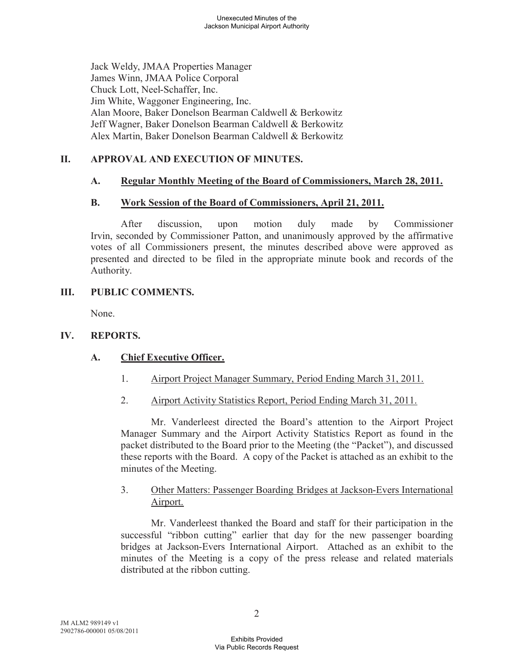Jack Weldy, JMAA Properties Manager James Winn, JMAA Police Corporal Chuck Lott, Neel-Schaffer, Inc. Jim White, Waggoner Engineering, Inc. Alan Moore, Baker Donelson Bearman Caldwell & Berkowitz Jeff Wagner, Baker Donelson Bearman Caldwell & Berkowitz Alex Martin, Baker Donelson Bearman Caldwell & Berkowitz

## **II. APPROVAL AND EXECUTION OF MINUTES.**

## **A. Regular Monthly Meeting of the Board of Commissioners, March 28, 2011.**

## **B. Work Session of the Board of Commissioners, April 21, 2011.**

After discussion, upon motion duly made by Commissioner Irvin, seconded by Commissioner Patton, and unanimously approved by the affirmative votes of all Commissioners present, the minutes described above were approved as presented and directed to be filed in the appropriate minute book and records of the Authority.

## **III. PUBLIC COMMENTS.**

None.

## **IV. REPORTS.**

## **A. Chief Executive Officer.**

- 1. Airport Project Manager Summary, Period Ending March 31, 2011.
- 2. Airport Activity Statistics Report, Period Ending March 31, 2011.

Mr. Vanderleest directed the Board's attention to the Airport Project Manager Summary and the Airport Activity Statistics Report as found in the packet distributed to the Board prior to the Meeting (the "Packet"), and discussed these reports with the Board. A copy of the Packet is attached as an exhibit to the minutes of the Meeting.

### 3. Other Matters: Passenger Boarding Bridges at Jackson-Evers International Airport.

Mr. Vanderleest thanked the Board and staff for their participation in the successful "ribbon cutting" earlier that day for the new passenger boarding bridges at Jackson-Evers International Airport. Attached as an exhibit to the minutes of the Meeting is a copy of the press release and related materials distributed at the ribbon cutting.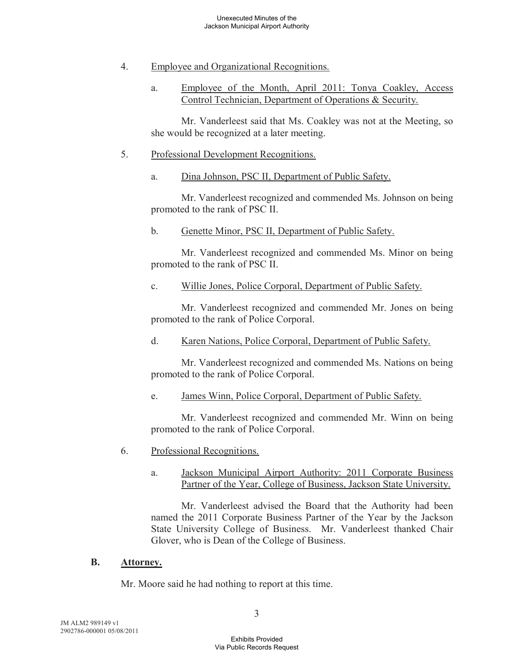- 4. Employee and Organizational Recognitions.
	- a. Employee of the Month, April 2011: Tonya Coakley, Access Control Technician, Department of Operations & Security.

Mr. Vanderleest said that Ms. Coakley was not at the Meeting, so she would be recognized at a later meeting.

### 5. Professional Development Recognitions.

a. Dina Johnson, PSC II, Department of Public Safety.

Mr. Vanderleest recognized and commended Ms. Johnson on being promoted to the rank of PSC II.

b. Genette Minor, PSC II, Department of Public Safety.

Mr. Vanderleest recognized and commended Ms. Minor on being promoted to the rank of PSC II.

c. Willie Jones, Police Corporal, Department of Public Safety.

Mr. Vanderleest recognized and commended Mr. Jones on being promoted to the rank of Police Corporal.

d. Karen Nations, Police Corporal, Department of Public Safety.

Mr. Vanderleest recognized and commended Ms. Nations on being promoted to the rank of Police Corporal.

e. James Winn, Police Corporal, Department of Public Safety.

Mr. Vanderleest recognized and commended Mr. Winn on being promoted to the rank of Police Corporal.

- 6. Professional Recognitions.
	- a. Jackson Municipal Airport Authority: 2011 Corporate Business Partner of the Year, College of Business, Jackson State University.

Mr. Vanderleest advised the Board that the Authority had been named the 2011 Corporate Business Partner of the Year by the Jackson State University College of Business. Mr. Vanderleest thanked Chair Glover, who is Dean of the College of Business.

### **B. Attorney.**

Mr. Moore said he had nothing to report at this time.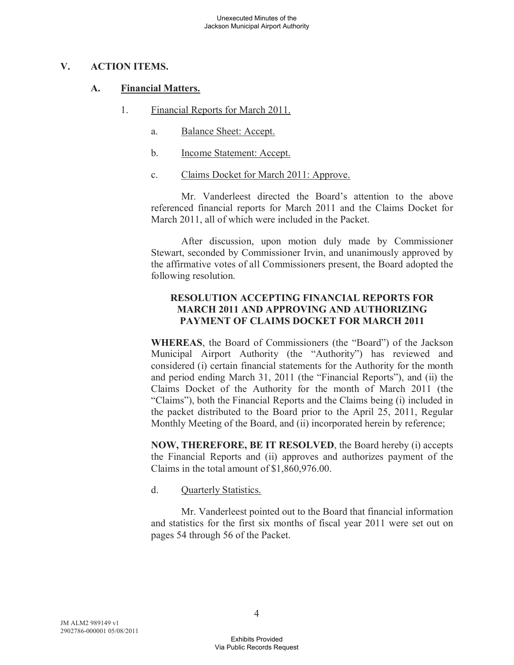## **V. ACTION ITEMS.**

### **A. Financial Matters.**

- 1. Financial Reports for March 2011.
	- a. Balance Sheet: Accept.
	- b. Income Statement: Accept.
	- c. Claims Docket for March 2011: Approve.

Mr. Vanderleest directed the Board's attention to the above referenced financial reports for March 2011 and the Claims Docket for March 2011, all of which were included in the Packet.

After discussion, upon motion duly made by Commissioner Stewart, seconded by Commissioner Irvin, and unanimously approved by the affirmative votes of all Commissioners present, the Board adopted the following resolution.

## **RESOLUTION ACCEPTING FINANCIAL REPORTS FOR MARCH 2011 AND APPROVING AND AUTHORIZING PAYMENT OF CLAIMS DOCKET FOR MARCH 2011**

**WHEREAS**, the Board of Commissioners (the "Board") of the Jackson Municipal Airport Authority (the "Authority") has reviewed and considered (i) certain financial statements for the Authority for the month and period ending March 31, 2011 (the "Financial Reports"), and (ii) the Claims Docket of the Authority for the month of March 2011 (the "Claims"), both the Financial Reports and the Claims being (i) included in the packet distributed to the Board prior to the April 25, 2011, Regular Monthly Meeting of the Board, and (ii) incorporated herein by reference;

**NOW, THEREFORE, BE IT RESOLVED**, the Board hereby (i) accepts the Financial Reports and (ii) approves and authorizes payment of the Claims in the total amount of \$1,860,976.00.

### d. Quarterly Statistics.

Mr. Vanderleest pointed out to the Board that financial information and statistics for the first six months of fiscal year 2011 were set out on pages 54 through 56 of the Packet.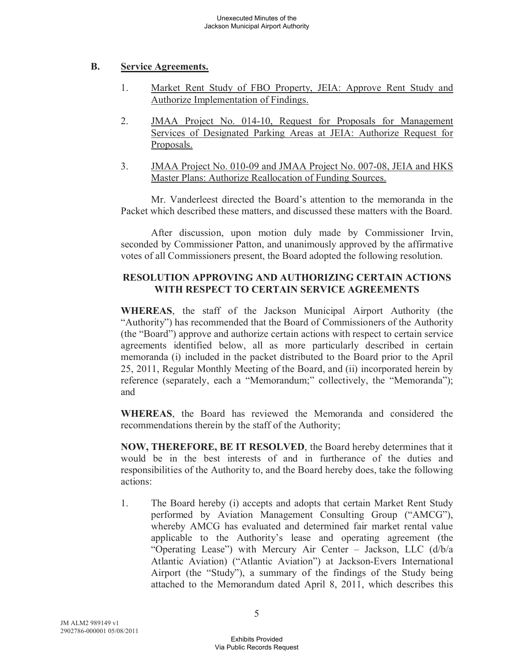## **B. Service Agreements.**

- 1. Market Rent Study of FBO Property, JEIA: Approve Rent Study and Authorize Implementation of Findings.
- 2. JMAA Project No. 014-10, Request for Proposals for Management Services of Designated Parking Areas at JEIA: Authorize Request for Proposals.
- 3. JMAA Project No. 010-09 and JMAA Project No. 007-08, JEIA and HKS Master Plans: Authorize Reallocation of Funding Sources.

Mr. Vanderleest directed the Board's attention to the memoranda in the Packet which described these matters, and discussed these matters with the Board.

After discussion, upon motion duly made by Commissioner Irvin, seconded by Commissioner Patton, and unanimously approved by the affirmative votes of all Commissioners present, the Board adopted the following resolution.

## **RESOLUTION APPROVING AND AUTHORIZING CERTAIN ACTIONS WITH RESPECT TO CERTAIN SERVICE AGREEMENTS**

**WHEREAS**, the staff of the Jackson Municipal Airport Authority (the "Authority") has recommended that the Board of Commissioners of the Authority (the "Board") approve and authorize certain actions with respect to certain service agreements identified below, all as more particularly described in certain memoranda (i) included in the packet distributed to the Board prior to the April 25, 2011, Regular Monthly Meeting of the Board, and (ii) incorporated herein by reference (separately, each a "Memorandum;" collectively, the "Memoranda"); and

**WHEREAS**, the Board has reviewed the Memoranda and considered the recommendations therein by the staff of the Authority;

**NOW, THEREFORE, BE IT RESOLVED**, the Board hereby determines that it would be in the best interests of and in furtherance of the duties and responsibilities of the Authority to, and the Board hereby does, take the following actions:

1. The Board hereby (i) accepts and adopts that certain Market Rent Study performed by Aviation Management Consulting Group ("AMCG"), whereby AMCG has evaluated and determined fair market rental value applicable to the Authority's lease and operating agreement (the "Operating Lease") with Mercury Air Center – Jackson, LLC (d/b/a Atlantic Aviation) ("Atlantic Aviation") at Jackson-Evers International Airport (the "Study"), a summary of the findings of the Study being attached to the Memorandum dated April 8, 2011, which describes this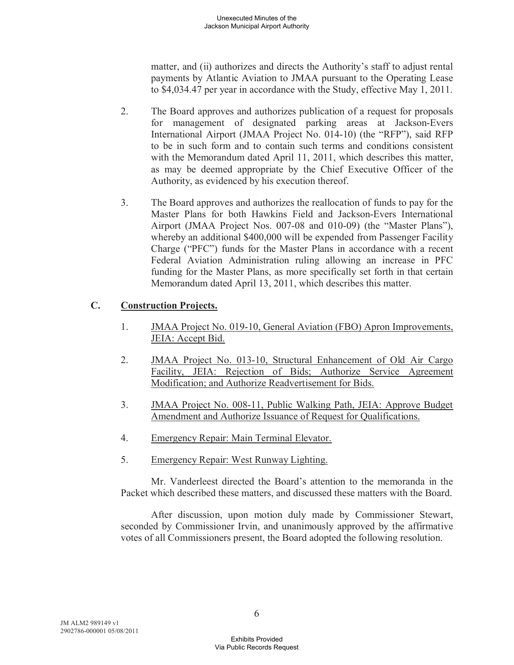matter, and (ii) authorizes and directs the Authority's staff to adjust rental payments by Atlantic Aviation to JMAA pursuant to the Operating Lease to \$4,034.47 per year in accordance with the Study, effective May 1, 2011.

- 2. The Board approves and authorizes publication of a request for proposals for management of designated parking areas at Jackson-Evers International Airport (JMAA Project No. 014-10) (the "RFP"), said RFP to be in such form and to contain such terms and conditions consistent with the Memorandum dated April 11, 2011, which describes this matter, as may be deemed appropriate by the Chief Executive Officer of the Authority, as evidenced by his execution thereof.
- 3. The Board approves and authorizes the reallocation of funds to pay for the Master Plans for both Hawkins Field and Jackson-Evers International Airport (JMAA Project Nos. 007-08 and 010-09) (the "Master Plans"), whereby an additional \$400,000 will be expended from Passenger Facility Charge ("PFC") funds for the Master Plans in accordance with a recent Federal Aviation Administration ruling allowing an increase in PFC funding for the Master Plans, as more specifically set forth in that certain Memorandum dated April 13, 2011, which describes this matter.

# **C. Construction Projects.**

- 1. JMAA Project No. 019-10, General Aviation (FBO) Apron Improvements, JEIA: Accept Bid.
- 2. JMAA Project No. 013-10, Structural Enhancement of Old Air Cargo Facility, JEIA: Rejection of Bids; Authorize Service Agreement Modification; and Authorize Readvertisement for Bids.
- 3. JMAA Project No. 008-11, Public Walking Path, JEIA: Approve Budget Amendment and Authorize Issuance of Request for Qualifications.
- 4. Emergency Repair: Main Terminal Elevator.
- 5. Emergency Repair: West Runway Lighting.

Mr. Vanderleest directed the Board's attention to the memoranda in the Packet which described these matters, and discussed these matters with the Board.

After discussion, upon motion duly made by Commissioner Stewart, seconded by Commissioner Irvin, and unanimously approved by the affirmative votes of all Commissioners present, the Board adopted the following resolution.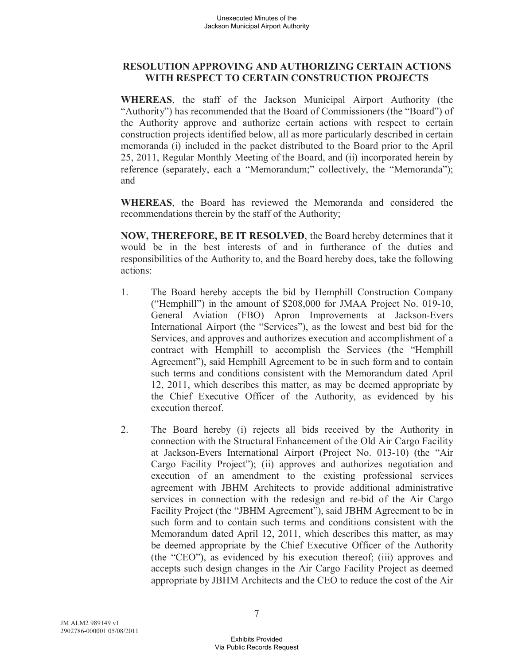## **RESOLUTION APPROVING AND AUTHORIZING CERTAIN ACTIONS WITH RESPECT TO CERTAIN CONSTRUCTION PROJECTS**

**WHEREAS**, the staff of the Jackson Municipal Airport Authority (the "Authority") has recommended that the Board of Commissioners (the "Board") of the Authority approve and authorize certain actions with respect to certain construction projects identified below, all as more particularly described in certain memoranda (i) included in the packet distributed to the Board prior to the April 25, 2011, Regular Monthly Meeting of the Board, and (ii) incorporated herein by reference (separately, each a "Memorandum;" collectively, the "Memoranda"); and

**WHEREAS**, the Board has reviewed the Memoranda and considered the recommendations therein by the staff of the Authority;

**NOW, THEREFORE, BE IT RESOLVED**, the Board hereby determines that it would be in the best interests of and in furtherance of the duties and responsibilities of the Authority to, and the Board hereby does, take the following actions:

- 1. The Board hereby accepts the bid by Hemphill Construction Company ("Hemphill") in the amount of \$208,000 for JMAA Project No. 019-10, General Aviation (FBO) Apron Improvements at Jackson-Evers International Airport (the "Services"), as the lowest and best bid for the Services, and approves and authorizes execution and accomplishment of a contract with Hemphill to accomplish the Services (the "Hemphill Agreement"), said Hemphill Agreement to be in such form and to contain such terms and conditions consistent with the Memorandum dated April 12, 2011, which describes this matter, as may be deemed appropriate by the Chief Executive Officer of the Authority, as evidenced by his execution thereof.
- 2. The Board hereby (i) rejects all bids received by the Authority in connection with the Structural Enhancement of the Old Air Cargo Facility at Jackson-Evers International Airport (Project No. 013-10) (the "Air Cargo Facility Project"); (ii) approves and authorizes negotiation and execution of an amendment to the existing professional services agreement with JBHM Architects to provide additional administrative services in connection with the redesign and re-bid of the Air Cargo Facility Project (the "JBHM Agreement"), said JBHM Agreement to be in such form and to contain such terms and conditions consistent with the Memorandum dated April 12, 2011, which describes this matter, as may be deemed appropriate by the Chief Executive Officer of the Authority (the "CEO"), as evidenced by his execution thereof; (iii) approves and accepts such design changes in the Air Cargo Facility Project as deemed appropriate by JBHM Architects and the CEO to reduce the cost of the Air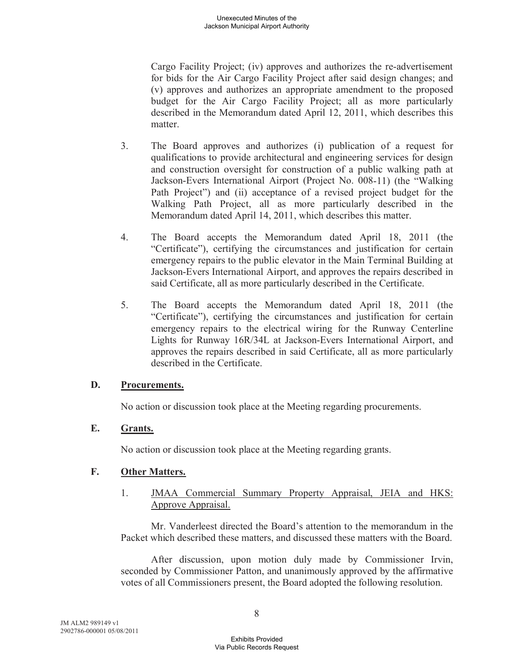Cargo Facility Project; (iv) approves and authorizes the re-advertisement for bids for the Air Cargo Facility Project after said design changes; and (v) approves and authorizes an appropriate amendment to the proposed budget for the Air Cargo Facility Project; all as more particularly described in the Memorandum dated April 12, 2011, which describes this matter.

- 3. The Board approves and authorizes (i) publication of a request for qualifications to provide architectural and engineering services for design and construction oversight for construction of a public walking path at Jackson-Evers International Airport (Project No. 008-11) (the "Walking Path Project") and (ii) acceptance of a revised project budget for the Walking Path Project, all as more particularly described in the Memorandum dated April 14, 2011, which describes this matter.
- 4. The Board accepts the Memorandum dated April 18, 2011 (the "Certificate"), certifying the circumstances and justification for certain emergency repairs to the public elevator in the Main Terminal Building at Jackson-Evers International Airport, and approves the repairs described in said Certificate, all as more particularly described in the Certificate.
- 5. The Board accepts the Memorandum dated April 18, 2011 (the "Certificate"), certifying the circumstances and justification for certain emergency repairs to the electrical wiring for the Runway Centerline Lights for Runway 16R/34L at Jackson-Evers International Airport, and approves the repairs described in said Certificate, all as more particularly described in the Certificate.

### **D. Procurements.**

No action or discussion took place at the Meeting regarding procurements.

## **E. Grants.**

No action or discussion took place at the Meeting regarding grants.

## **F. Other Matters.**

1. JMAA Commercial Summary Property Appraisal, JEIA and HKS: Approve Appraisal.

Mr. Vanderleest directed the Board's attention to the memorandum in the Packet which described these matters, and discussed these matters with the Board.

After discussion, upon motion duly made by Commissioner Irvin, seconded by Commissioner Patton, and unanimously approved by the affirmative votes of all Commissioners present, the Board adopted the following resolution.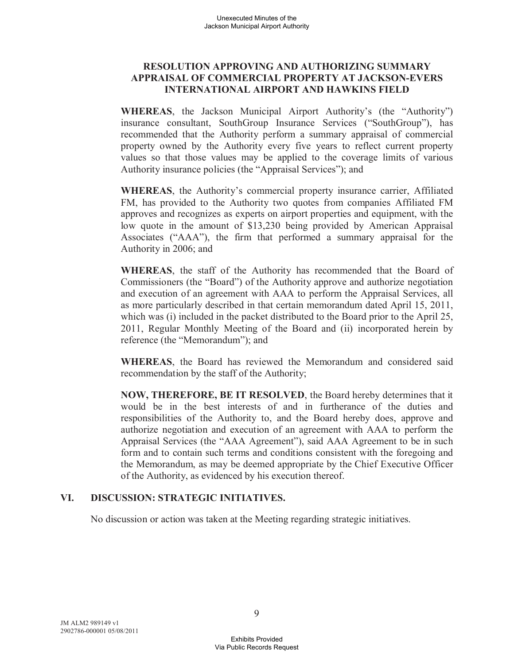## **RESOLUTION APPROVING AND AUTHORIZING SUMMARY APPRAISAL OF COMMERCIAL PROPERTY AT JACKSON-EVERS INTERNATIONAL AIRPORT AND HAWKINS FIELD**

**WHEREAS**, the Jackson Municipal Airport Authority's (the "Authority") insurance consultant, SouthGroup Insurance Services ("SouthGroup"), has recommended that the Authority perform a summary appraisal of commercial property owned by the Authority every five years to reflect current property values so that those values may be applied to the coverage limits of various Authority insurance policies (the "Appraisal Services"); and

**WHEREAS**, the Authority's commercial property insurance carrier, Affiliated FM, has provided to the Authority two quotes from companies Affiliated FM approves and recognizes as experts on airport properties and equipment, with the low quote in the amount of \$13,230 being provided by American Appraisal Associates ("AAA"), the firm that performed a summary appraisal for the Authority in 2006; and

**WHEREAS**, the staff of the Authority has recommended that the Board of Commissioners (the "Board") of the Authority approve and authorize negotiation and execution of an agreement with AAA to perform the Appraisal Services, all as more particularly described in that certain memorandum dated April 15, 2011, which was (i) included in the packet distributed to the Board prior to the April 25, 2011, Regular Monthly Meeting of the Board and (ii) incorporated herein by reference (the "Memorandum"); and

**WHEREAS**, the Board has reviewed the Memorandum and considered said recommendation by the staff of the Authority;

**NOW, THEREFORE, BE IT RESOLVED**, the Board hereby determines that it would be in the best interests of and in furtherance of the duties and responsibilities of the Authority to, and the Board hereby does, approve and authorize negotiation and execution of an agreement with AAA to perform the Appraisal Services (the "AAA Agreement"), said AAA Agreement to be in such form and to contain such terms and conditions consistent with the foregoing and the Memorandum, as may be deemed appropriate by the Chief Executive Officer of the Authority, as evidenced by his execution thereof.

### **VI. DISCUSSION: STRATEGIC INITIATIVES.**

No discussion or action was taken at the Meeting regarding strategic initiatives.